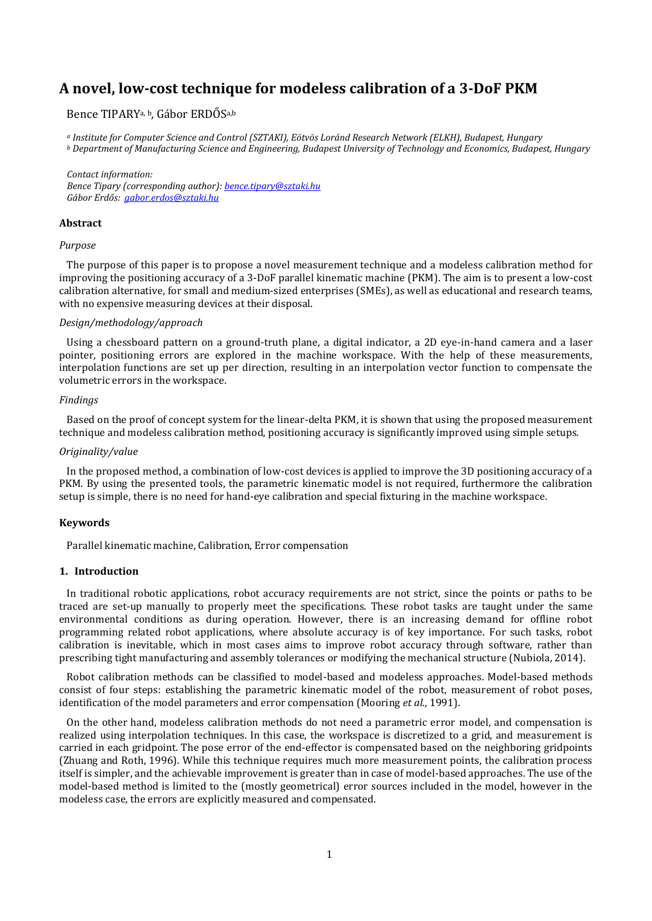# **A novel, low-cost technique for modeless calibration of a 3-DoF PKM**

# Bence TIPARYa, b, Gábor ERDŐSa,b

*<sup>a</sup> Institute for Computer Science and Control (SZTAKI), Eötvös Loránd Research Network (ELKH), Budapest, Hungary <sup>b</sup> Department of Manufacturing Science and Engineering, Budapest University of Technology and Economics, Budapest, Hungary*

*Contact information: Bence Tipary (corresponding author): [bence.tipary@sztaki.hu](mailto:bence.tipary@sztaki.hu) Gábor Erdős: [gabor.erdos@sztaki.hu](mailto:gabor.erdos@sztaki.hu)*

# **Abstract**

#### *Purpose*

The purpose of this paper is to propose a novel measurement technique and a modeless calibration method for improving the positioning accuracy of a 3-DoF parallel kinematic machine (PKM). The aim is to present a low-cost calibration alternative, for small and medium-sized enterprises (SMEs), as well as educational and research teams, with no expensive measuring devices at their disposal.

#### *Design/methodology/approach*

Using a chessboard pattern on a ground-truth plane, a digital indicator, a 2D eye-in-hand camera and a laser pointer, positioning errors are explored in the machine workspace. With the help of these measurements, interpolation functions are set up per direction, resulting in an interpolation vector function to compensate the volumetric errors in the workspace.

### *Findings*

Based on the proof of concept system for the linear-delta PKM, it is shown that using the proposed measurement technique and modeless calibration method, positioning accuracy is significantly improved using simple setups.

# *Originality/value*

In the proposed method, a combination of low-cost devices is applied to improve the 3D positioning accuracy of a PKM. By using the presented tools, the parametric kinematic model is not required, furthermore the calibration setup is simple, there is no need for hand-eye calibration and special fixturing in the machine workspace.

# **Keywords**

Parallel kinematic machine, Calibration, Error compensation

## **1. Introduction**

In traditional robotic applications, robot accuracy requirements are not strict, since the points or paths to be traced are set-up manually to properly meet the specifications. These robot tasks are taught under the same environmental conditions as during operation. However, there is an increasing demand for offline robot programming related robot applications, where absolute accuracy is of key importance. For such tasks, robot calibration is inevitable, which in most cases aims to improve robot accuracy through software, rather than prescribing tight manufacturing and assembly tolerances or modifying the mechanical structure (Nubiola, 2014).

Robot calibration methods can be classified to model-based and modeless approaches. Model-based methods consist of four steps: establishing the parametric kinematic model of the robot, measurement of robot poses, identification of the model parameters and error compensation (Mooring *et al.*, 1991).

On the other hand, modeless calibration methods do not need a parametric error model, and compensation is realized using interpolation techniques. In this case, the workspace is discretized to a grid, and measurement is carried in each gridpoint. The pose error of the end-effector is compensated based on the neighboring gridpoints (Zhuang and Roth, 1996). While this technique requires much more measurement points, the calibration process itself is simpler, and the achievable improvement is greater than in case of model-based approaches. The use of the model-based method is limited to the (mostly geometrical) error sources included in the model, however in the modeless case, the errors are explicitly measured and compensated.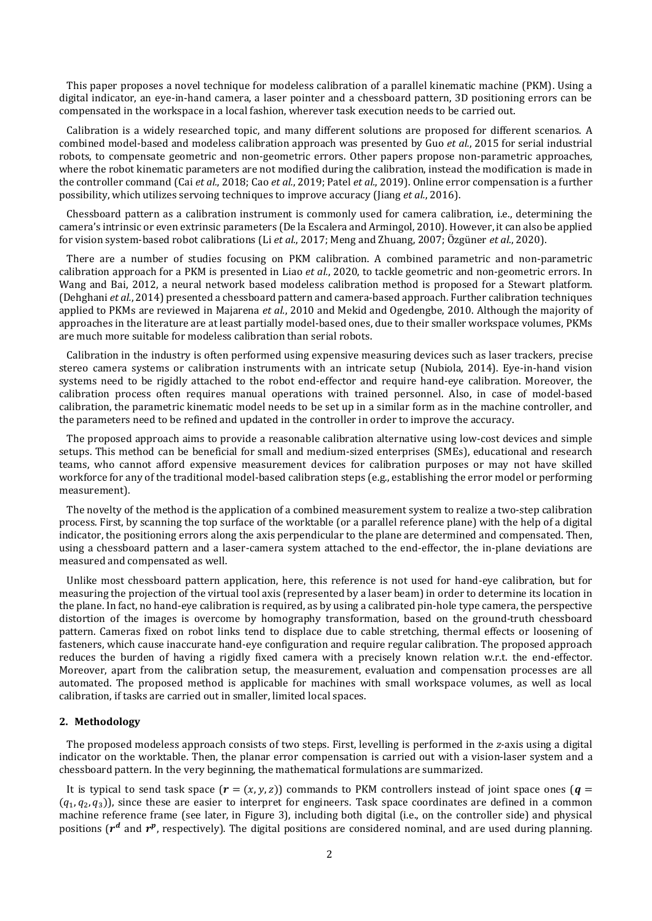This paper proposes a novel technique for modeless calibration of a parallel kinematic machine (PKM). Using a digital indicator, an eye-in-hand camera, a laser pointer and a chessboard pattern, 3D positioning errors can be compensated in the workspace in a local fashion, wherever task execution needs to be carried out.

Calibration is a widely researched topic, and many different solutions are proposed for different scenarios. A combined model-based and modeless calibration approach was presented by Guo *et al.*, 2015 for serial industrial robots, to compensate geometric and non-geometric errors. Other papers propose non-parametric approaches, where the robot kinematic parameters are not modified during the calibration, instead the modification is made in the controller command (Cai *et al.*, 2018; Cao *et al.*, 2019; Patel *et al.*, 2019). Online error compensation is a further possibility, which utilizes servoing techniques to improve accuracy (Jiang *et al.*, 2016).

Chessboard pattern as a calibration instrument is commonly used for camera calibration, i.e., determining the camera's intrinsic or even extrinsic parameters (De la Escalera and Armingol, 2010). However, it can also be applied for vision system-based robot calibrations (Li *et al.*, 2017; Meng and Zhuang, 2007; Özgüner *et al.*, 2020).

There are a number of studies focusing on PKM calibration. A combined parametric and non-parametric calibration approach for a PKM is presented in Liao *et al.*, 2020, to tackle geometric and non-geometric errors. In Wang and Bai, 2012, a neural network based modeless calibration method is proposed for a Stewart platform. (Dehghani *et al.*, 2014) presented a chessboard pattern and camera-based approach. Further calibration techniques applied to PKMs are reviewed in Majarena *et al.*, 2010 and Mekid and Ogedengbe, 2010. Although the majority of approaches in the literature are at least partially model-based ones, due to their smaller workspace volumes, PKMs are much more suitable for modeless calibration than serial robots.

Calibration in the industry is often performed using expensive measuring devices such as laser trackers, precise stereo camera systems or calibration instruments with an intricate setup (Nubiola, 2014). Eye-in-hand vision systems need to be rigidly attached to the robot end-effector and require hand-eye calibration. Moreover, the calibration process often requires manual operations with trained personnel. Also, in case of model-based calibration, the parametric kinematic model needs to be set up in a similar form as in the machine controller, and the parameters need to be refined and updated in the controller in order to improve the accuracy.

The proposed approach aims to provide a reasonable calibration alternative using low-cost devices and simple setups. This method can be beneficial for small and medium-sized enterprises (SMEs), educational and research teams, who cannot afford expensive measurement devices for calibration purposes or may not have skilled workforce for any of the traditional model-based calibration steps (e.g., establishing the error model or performing measurement).

The novelty of the method is the application of a combined measurement system to realize a two-step calibration process. First, by scanning the top surface of the worktable (or a parallel reference plane) with the help of a digital indicator, the positioning errors along the axis perpendicular to the plane are determined and compensated. Then, using a chessboard pattern and a laser-camera system attached to the end-effector, the in-plane deviations are measured and compensated as well.

Unlike most chessboard pattern application, here, this reference is not used for hand-eye calibration, but for measuring the projection of the virtual tool axis (represented by a laser beam) in order to determine its location in the plane. In fact, no hand-eye calibration is required, as by using a calibrated pin-hole type camera, the perspective distortion of the images is overcome by homography transformation, based on the ground-truth chessboard pattern. Cameras fixed on robot links tend to displace due to cable stretching, thermal effects or loosening of fasteners, which cause inaccurate hand-eye configuration and require regular calibration. The proposed approach reduces the burden of having a rigidly fixed camera with a precisely known relation w.r.t. the end-effector. Moreover, apart from the calibration setup, the measurement, evaluation and compensation processes are all automated. The proposed method is applicable for machines with small workspace volumes, as well as local calibration, if tasks are carried out in smaller, limited local spaces.

#### **2. Methodology**

The proposed modeless approach consists of two steps. First, levelling is performed in the *z*-axis using a digital indicator on the worktable. Then, the planar error compensation is carried out with a vision-laser system and a chessboard pattern. In the very beginning, the mathematical formulations are summarized.

It is typical to send task space  $(r = (x, y, z))$  commands to PKM controllers instead of joint space ones  $(a =$  $(q_1, q_2, q_3)$ ), since these are easier to interpret for engineers. Task space coordinates are defined in a common machine reference frame (see later, in [Figure 3\)](#page-5-0), including both digital (i.e., on the controller side) and physical positions ( $r^d$  and  $r^p$ , respectively). The digital positions are considered nominal, and are used during planning.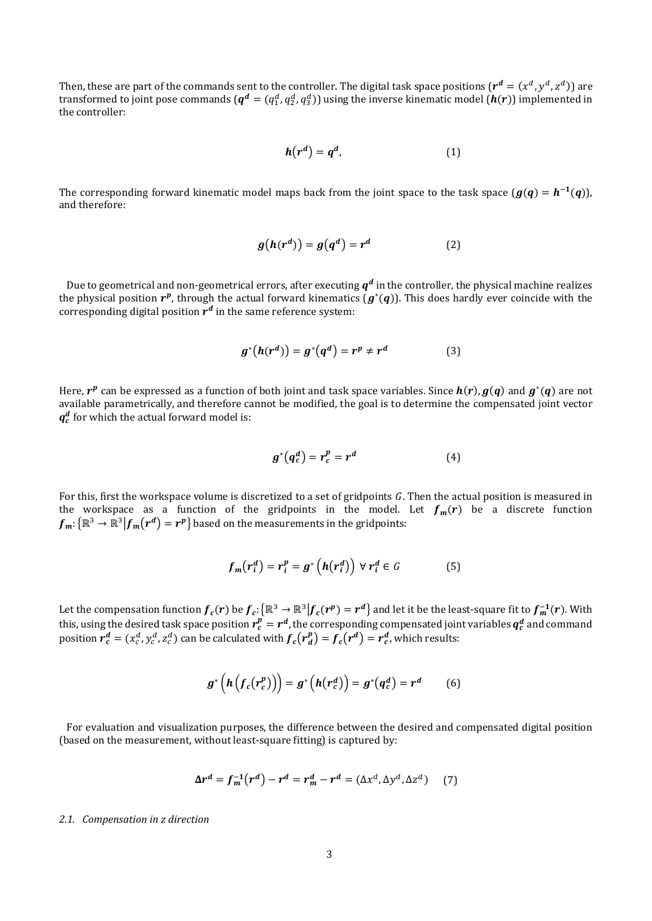Then, these are part of the commands sent to the controller. The digital task space positions  $(r^d = (x^d, y^d, z^d))$  are transformed to joint pose commands ( $q^d=(q_1^d,q_2^d,q_3^d)$ ) using the inverse kinematic model ( $h(r)$ ) implemented in the controller:

$$
h(r^d) = q^d, \tag{1}
$$

The corresponding forward kinematic model maps back from the joint space to the task space  $(g(q) = h^{-1}(q))$ , and therefore:

$$
g(h(r^d)) = g(q^d) = r^d \tag{2}
$$

Due to geometrical and non-geometrical errors, after executing  $q^d$  in the controller, the physical machine realizes the physical position  $r^p$ , through the actual forward kinematics  $(g^*(q))$ . This does hardly ever coincide with the corresponding digital position  $r^d$  in the same reference system:

$$
g^*\big(h(r^d)\big) = g^*\big(q^d\big) = r^p \neq r^d \tag{3}
$$

Here,  $r^p$  can be expressed as a function of both joint and task space variables. Since  $h(r)$ ,  $g(q)$  and  $g^*(q)$  are not available parametrically, and therefore cannot be modified, the goal is to determine the compensated joint vector  $q_c^d$  for which the actual forward model is:

$$
g^*(q_c^d) = r_c^p = r^d \tag{4}
$$

For this, first the workspace volume is discretized to a set of gridpoints G. Then the actual position is measured in the workspace as a function of the gridpoints in the model. Let  $f_m(r)$  be a discrete function  ${f}_{m} \!\!:\! \{\mathbb{R}^3 \to \mathbb{R}^3 \big|{f}_{m}\!\!\left(r^d\right)=r^p\big\}$  based on the measurements in the gridpoints:

$$
f_m(r_i^d) = r_i^p = g^* \left( h(r_i^d) \right) \ \forall \ r_i^d \in G \tag{5}
$$

Let the compensation function  $f_c(r)$  be  $f_c$ :  $\{R^3\to R^3|f_c(r^p)=r^d\}$  and let it be the least-square fit to  $f_m^{-1}(r)$ . With this, using the desired task space position  $r_c^p=r^d$ , the corresponding compensated joint variables  $q_c^d$  and command position  $r_c^d = (x_c^d, y_c^d, z_c^d)$  can be calculated with  $f_c(r_d^p) = f_c(r^d) = r_c^d$ , which results:

$$
g^*\left(h\left(f_c\left(r_c^p\right)\right)\right) = g^*\left(h\left(r_c^d\right)\right) = g^*\left(q_c^d\right) = r^d \qquad (6)
$$

For evaluation and visualization purposes, the difference between the desired and compensated digital position (based on the measurement, without least-square fitting) is captured by:

$$
\Delta r^d = f_m^{-1}(r^d) - r^d = r_m^d - r^d = (\Delta x^d, \Delta y^d, \Delta z^d)
$$
 (7)

#### *2.1. Compensation in z direction*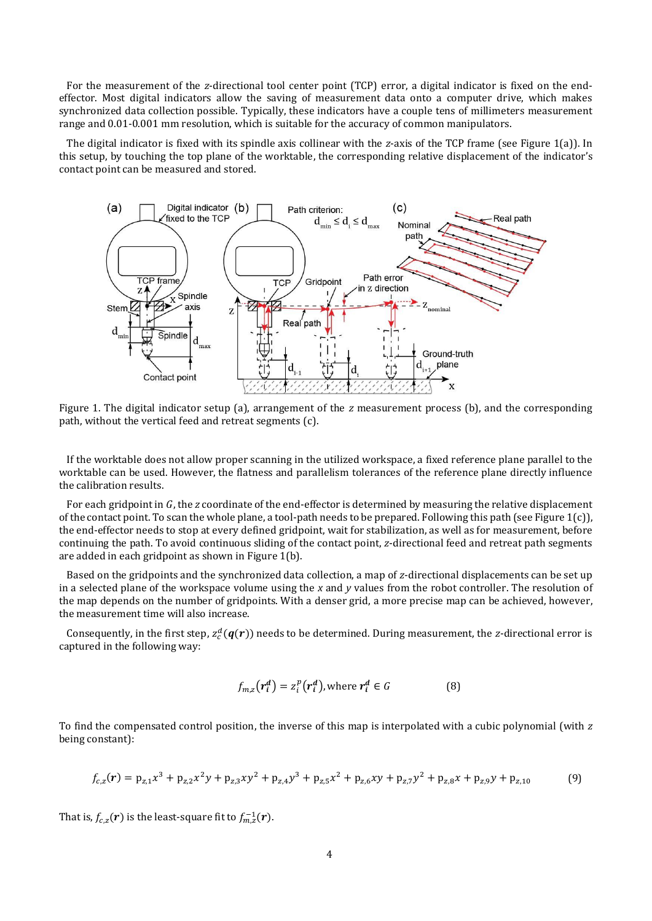For the measurement of the *z*-directional tool center point (TCP) error, a digital indicator is fixed on the endeffector. Most digital indicators allow the saving of measurement data onto a computer drive, which makes synchronized data collection possible. Typically, these indicators have a couple tens of millimeters measurement range and 0.01-0.001 mm resolution, which is suitable for the accuracy of common manipulators.

The digital indicator is fixed with its spindle axis collinear with the *z*-axis of the TCP frame (see [Figure 1\(](#page-3-0)a)). In this setup, by touching the top plane of the worktable, the corresponding relative displacement of the indicator's contact point can be measured and stored.



<span id="page-3-0"></span>Figure 1. The digital indicator setup (a), arrangement of the *z* measurement process (b), and the corresponding path, without the vertical feed and retreat segments (c).

If the worktable does not allow proper scanning in the utilized workspace, a fixed reference plane parallel to the worktable can be used. However, the flatness and parallelism tolerances of the reference plane directly influence the calibration results.

For each gridpoint in G, the *z* coordinate of the end-effector is determined by measuring the relative displacement of the contact point. To scan the whole plane, a tool-path needs to be prepared. Following this path (se[e Figure 1\(](#page-3-0)c)), the end-effector needs to stop at every defined gridpoint, wait for stabilization, as well as for measurement, before continuing the path. To avoid continuous sliding of the contact point, *z*-directional feed and retreat path segments are added in each gridpoint as shown in [Figure 1\(](#page-3-0)b).

Based on the gridpoints and the synchronized data collection, a map of *z*-directional displacements can be set up in a selected plane of the workspace volume using the *x* and *y* values from the robot controller. The resolution of the map depends on the number of gridpoints. With a denser grid, a more precise map can be achieved, however, the measurement time will also increase.

Consequently, in the first step,  $z_c^d(q(r))$  needs to be determined. During measurement, the *z*-directional error is captured in the following way:

<span id="page-3-1"></span>
$$
f_{m,z}(r_i^d) = z_i^p(r_i^d), \text{ where } r_i^d \in G \tag{8}
$$

To find the compensated control position, the inverse of this map is interpolated with a cubic polynomial (with *z* being constant):

$$
f_{c,z}(r) = p_{z,1}x^3 + p_{z,2}x^2y + p_{z,3}xy^2 + p_{z,4}y^3 + p_{z,5}x^2 + p_{z,6}xy + p_{z,7}y^2 + p_{z,8}x + p_{z,9}y + p_{z,10}
$$
(9)

That is,  $f_{c,z}({\bm r})$  is the least-square fit to  $f_{m,z}^{-1}({\bm r})$ .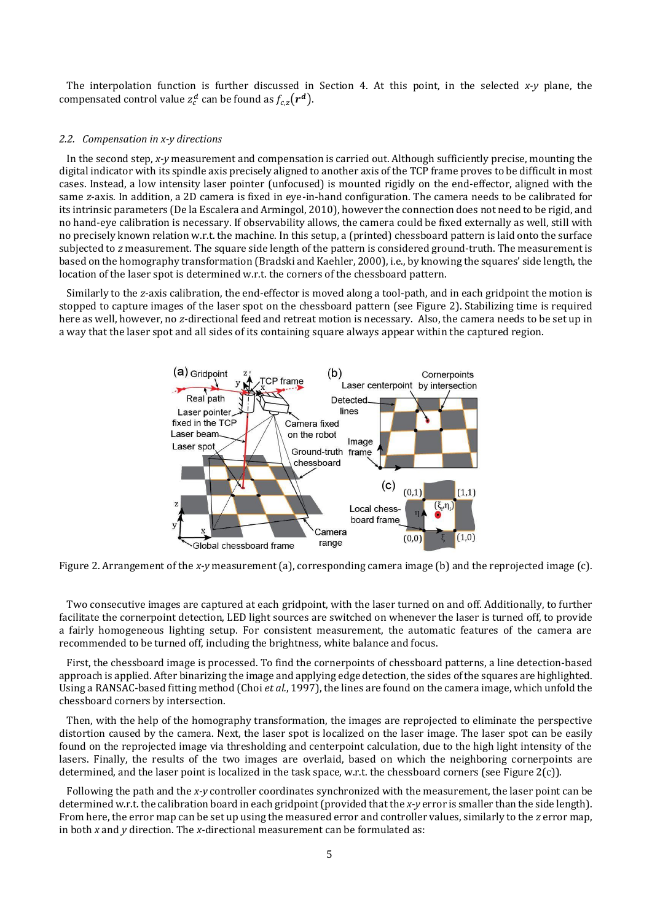The interpolation function is further discussed in Section [4.](#page-8-0) At this point, in the selected *x-y* plane, the compensated control value  $z_c^d$  can be found as  $f_{c,z}(r^d)$ .

## <span id="page-4-1"></span>*2.2. Compensation in x-y directions*

In the second step, *x-y* measurement and compensation is carried out. Although sufficiently precise, mounting the digital indicator with its spindle axis precisely aligned to another axis of the TCP frame proves to be difficult in most cases. Instead, a low intensity laser pointer (unfocused) is mounted rigidly on the end-effector, aligned with the same *z*-axis. In addition, a 2D camera is fixed in eye-in-hand configuration. The camera needs to be calibrated for its intrinsic parameters (De la Escalera and Armingol, 2010), however the connection does not need to be rigid, and no hand-eye calibration is necessary. If observability allows, the camera could be fixed externally as well, still with no precisely known relation w.r.t. the machine. In this setup, a (printed) chessboard pattern is laid onto the surface subjected to *z* measurement. The square side length of the pattern is considered ground-truth. The measurement is based on the homography transformation (Bradski and Kaehler, 2000), i.e., by knowing the squares' side length, the location of the laser spot is determined w.r.t. the corners of the chessboard pattern.

Similarly to the *z*-axis calibration, the end-effector is moved along a tool-path, and in each gridpoint the motion is stopped to capture images of the laser spot on the chessboard pattern (see [Figure 2\)](#page-4-0). Stabilizing time is required here as well, however, no *z-*directional feed and retreat motion is necessary. Also, the camera needs to be set up in a way that the laser spot and all sides of its containing square always appear within the captured region.



<span id="page-4-0"></span>Figure 2. Arrangement of the *x-y* measurement (a), corresponding camera image (b) and the reprojected image (c).

Two consecutive images are captured at each gridpoint, with the laser turned on and off. Additionally, to further facilitate the cornerpoint detection, LED light sources are switched on whenever the laser is turned off, to provide a fairly homogeneous lighting setup. For consistent measurement, the automatic features of the camera are recommended to be turned off, including the brightness, white balance and focus.

First, the chessboard image is processed. To find the cornerpoints of chessboard patterns, a line detection-based approach is applied. After binarizing the image and applying edge detection, the sides of the squares are highlighted. Using a RANSAC-based fitting method (Choi *et al.*, 1997), the lines are found on the camera image, which unfold the chessboard corners by intersection.

Then, with the help of the homography transformation, the images are reprojected to eliminate the perspective distortion caused by the camera. Next, the laser spot is localized on the laser image. The laser spot can be easily found on the reprojected image via thresholding and centerpoint calculation, due to the high light intensity of the lasers. Finally, the results of the two images are overlaid, based on which the neighboring cornerpoints are determined, and the laser point is localized in the task space, w.r.t. the chessboard corners (see [Figure 2\(](#page-4-0)c)).

Following the path and the *x-y* controller coordinates synchronized with the measurement, the laser point can be determined w.r.t. the calibration board in each gridpoint (provided that the *x*-*y* error is smaller than the side length). From here, the error map can be set up using the measured error and controller values, similarly to the *z* error map, in both *x* and *y* direction. The *x-*directional measurement can be formulated as: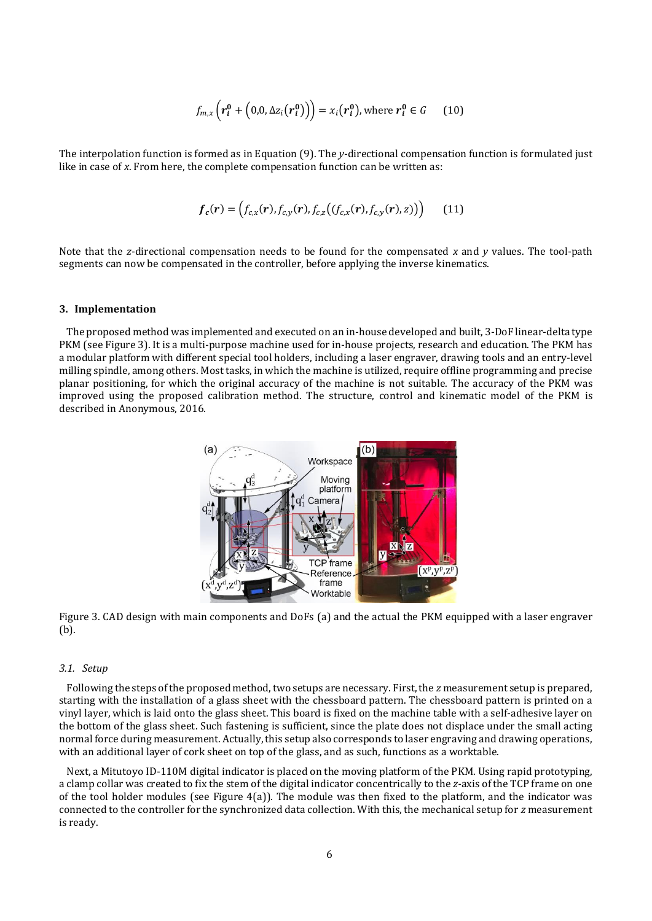$$
f_{m,x}\left(\boldsymbol{r}_i^0 + \left(0, 0, \Delta z_i(\boldsymbol{r}_i^0)\right)\right) = x_i(\boldsymbol{r}_i^0), \text{ where } \boldsymbol{r}_i^0 \in G \qquad (10)
$$

The interpolation function is formed as in Equation [\(9\)](#page-3-1). The *y*-directional compensation function is formulated just like in case of *x*. From here, the complete compensation function can be written as:

$$
f_c(r) = (f_{c,x}(r), f_{c,y}(r), f_{c,z}((f_{c,x}(r), f_{c,y}(r), z))) \qquad (11)
$$

Note that the *z*-directional compensation needs to be found for the compensated *x* and *y* values. The tool-path segments can now be compensated in the controller, before applying the inverse kinematics.

# **3. Implementation**

The proposed method was implemented and executed on an in-house developed and built, 3-DoF linear-delta type PKM (se[e Figure 3\)](#page-5-0). It is a multi-purpose machine used for in-house projects, research and education. The PKM has a modular platform with different special tool holders, including a laser engraver, drawing tools and an entry-level milling spindle, among others. Most tasks, in which the machine is utilized, require offline programming and precise planar positioning, for which the original accuracy of the machine is not suitable. The accuracy of the PKM was improved using the proposed calibration method. The structure, control and kinematic model of the PKM is described in Anonymous, 2016.



<span id="page-5-0"></span>Figure 3. CAD design with main components and DoFs (a) and the actual the PKM equipped with a laser engraver (b).

#### *3.1. Setup*

Following the steps of the proposed method, two setups are necessary. First, the *z* measurement setup is prepared, starting with the installation of a glass sheet with the chessboard pattern. The chessboard pattern is printed on a vinyl layer, which is laid onto the glass sheet. This board is fixed on the machine table with a self-adhesive layer on the bottom of the glass sheet. Such fastening is sufficient, since the plate does not displace under the small acting normal force during measurement. Actually, this setup also corresponds to laser engraving and drawing operations, with an additional layer of cork sheet on top of the glass, and as such, functions as a worktable.

Next, a Mitutoyo ID-110M digital indicator is placed on the moving platform of the PKM. Using rapid prototyping, a clamp collar was created to fix the stem of the digital indicator concentrically to the *z-*axis of the TCP frame on one of the tool holder modules (see [Figure 4\(](#page-6-0)a)). The module was then fixed to the platform, and the indicator was connected to the controller for the synchronized data collection. With this, the mechanical setup for *z* measurement is ready.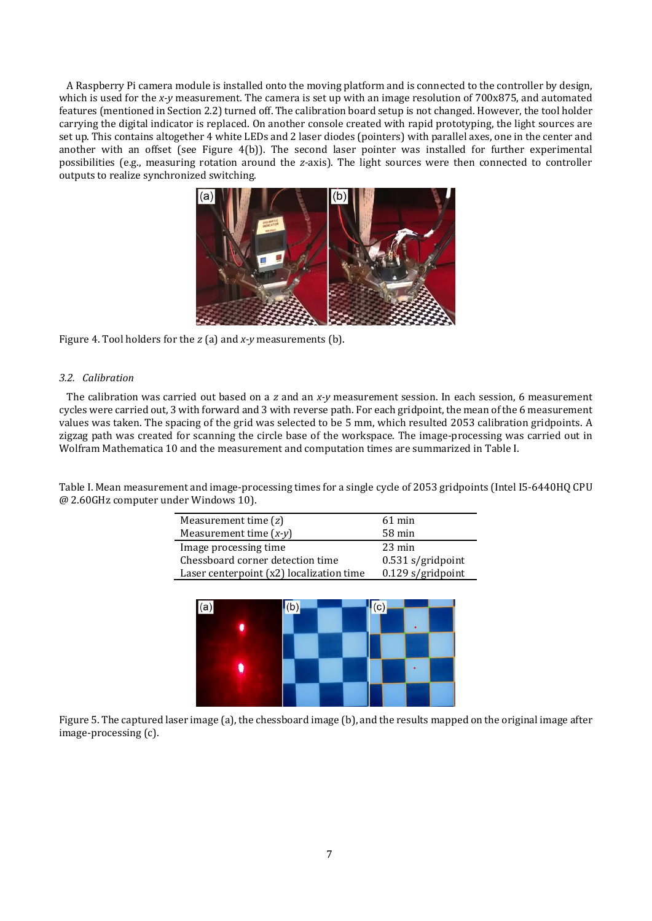A Raspberry Pi camera module is installed onto the moving platform and is connected to the controller by design, which is used for the *x*-y measurement. The camera is set up with an image resolution of 700x875, and automated features (mentioned in Sectio[n 2.2\)](#page-4-1) turned off. The calibration board setup is not changed. However, the tool holder carrying the digital indicator is replaced. On another console created with rapid prototyping, the light sources are set up. This contains altogether 4 white LEDs and 2 laser diodes (pointers) with parallel axes, one in the center and another with an offset (see [Figure 4\(](#page-6-0)b)). The second laser pointer was installed for further experimental possibilities (e.g., measuring rotation around the *z-*axis). The light sources were then connected to controller outputs to realize synchronized switching.



<span id="page-6-0"></span>Figure 4. Tool holders for the *z* (a) and *x-y* measurements (b).

# *3.2. Calibration*

The calibration was carried out based on a *z* and an *x-y* measurement session. In each session, 6 measurement cycles were carried out, 3 with forward and 3 with reverse path. For each gridpoint, the mean of the 6 measurement values was taken. The spacing of the grid was selected to be 5 mm, which resulted 2053 calibration gridpoints. A zigzag path was created for scanning the circle base of the workspace. The image-processing was carried out in Wolfram Mathematica 10 and the measurement and computation times are summarized in [Table I.](#page-6-1)

<span id="page-6-1"></span>Table I. Mean measurement and image-processing times for a single cycle of 2053 gridpoints (Intel I5-6440HQ CPU @ 2.60GHz computer under Windows 10).

| Measurement time $(z)$                   | $61 \text{ min}$    |  |
|------------------------------------------|---------------------|--|
| Measurement time $(x-y)$                 | $58 \,\mathrm{min}$ |  |
| Image processing time                    | $23 \text{ min}$    |  |
| Chessboard corner detection time         | $0.531$ s/gridpoint |  |
| Laser centerpoint (x2) localization time | 0.129 s/gridpoint   |  |



<span id="page-6-2"></span>Figure 5. The captured laser image (a), the chessboard image (b), and the results mapped on the original image after image-processing (c).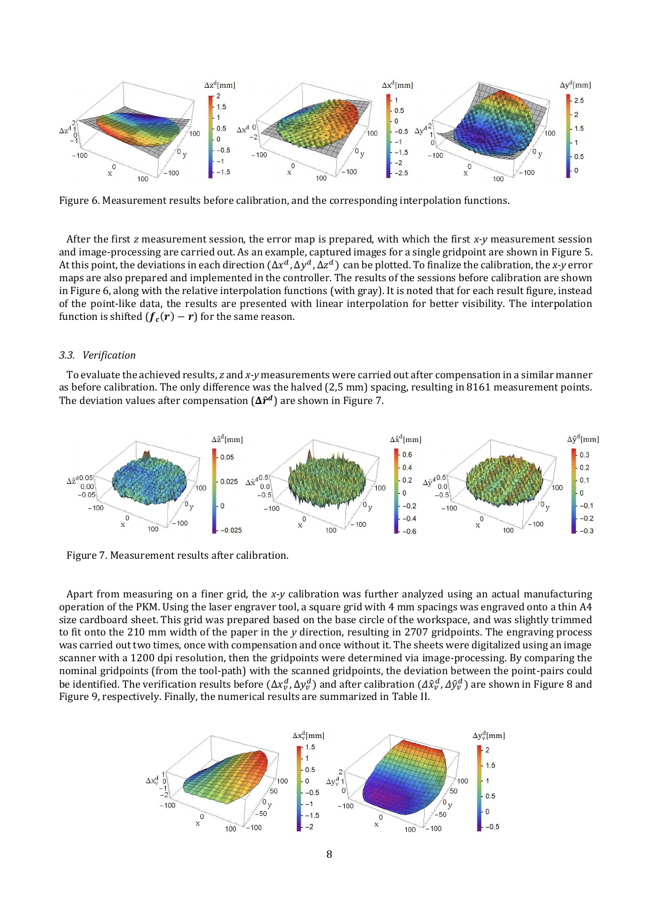

<span id="page-7-0"></span>Figure 6. Measurement results before calibration, and the corresponding interpolation functions.

After the first *z* measurement session, the error map is prepared, with which the first *x-y* measurement session and image-processing are carried out. As an example, captured images for a single gridpoint are shown in [Figure 5.](#page-6-2) At this point, the deviations in each direction  $(\Delta x^d, \Delta y^d, \Delta z^d)$  can be plotted. To finalize the calibration, the *x*-y error maps are also prepared and implemented in the controller. The results of the sessions before calibration are shown in [Figure 6,](#page-7-0) along with the relative interpolation functions (with gray). It is noted that for each result figure, instead of the point-like data, the results are presented with linear interpolation for better visibility. The interpolation function is shifted  $(f_c(r) - r)$  for the same reason.

#### *3.3. Verification*

To evaluate the achieved results, *z* and *x-y* measurements were carried out after compensation in a similar manner as before calibration. The only difference was the halved (2,5 mm) spacing, resulting in 8161 measurement points. The deviation values after compensation  $(\Delta \hat{r}^d)$  are shown i[n Figure 7.](#page-7-1)



<span id="page-7-1"></span>Figure 7. Measurement results after calibration.

Apart from measuring on a finer grid, the *x-y* calibration was further analyzed using an actual manufacturing operation of the PKM. Using the laser engraver tool, a square grid with 4 mm spacings was engraved onto a thin A4 size cardboard sheet. This grid was prepared based on the base circle of the workspace, and was slightly trimmed to fit onto the 210 mm width of the paper in the *y* direction, resulting in 2707 gridpoints. The engraving process was carried out two times, once with compensation and once without it. The sheets were digitalized using an image scanner with a 1200 dpi resolution, then the gridpoints were determined via image-processing. By comparing the nominal gridpoints (from the tool-path) with the scanned gridpoints, the deviation between the point-pairs could be identified. The verification results before  $(\Delta x_v^d$ ,  $\Delta y_v^d)$  and after calibration  $(\Delta \hat{x}_v^d, \Delta \hat{y}_v^d)$  are shown i[n Figure 8](#page-8-1) and [Figure 9,](#page-8-2) respectively. Finally, the numerical results are summarized in [Table II.](#page-8-3)

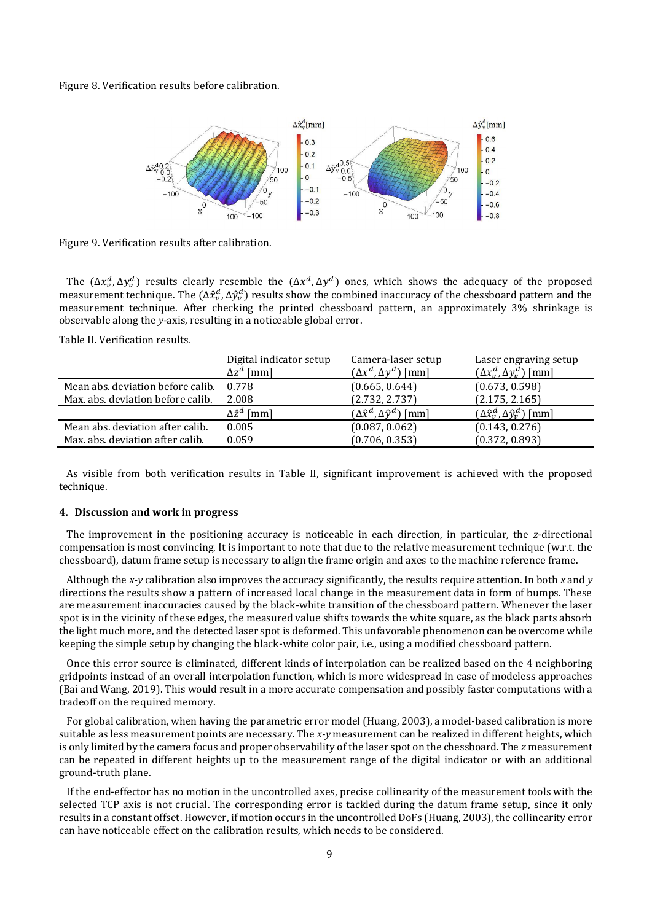<span id="page-8-1"></span>Figure 8. Verification results before calibration.



<span id="page-8-2"></span>Figure 9. Verification results after calibration.

The  $(\Delta x_v^d, \Delta y_v^d)$  results clearly resemble the  $(\Delta x^d, \Delta y^d)$  ones, which shows the adequacy of the proposed measurement technique. The  $(\Delta\hat{x}^d_\nu,\Delta\hat{y}^d_\nu)$  results show the combined inaccuracy of the chessboard pattern and the measurement technique. After checking the printed chessboard pattern, an approximately 3% shrinkage is observable along the *y-*axis, resulting in a noticeable global error.

<span id="page-8-3"></span>Table II. Verification results.

|                                   | Digital indicator setup<br>$\Delta z^d$ [mm] | Camera-laser setup<br>$(\Delta x^d, \Delta y^d)$ [mm] | Laser engraving setup<br>$(\Delta x_v^d, \Delta y_v^d)$ [mm] |
|-----------------------------------|----------------------------------------------|-------------------------------------------------------|--------------------------------------------------------------|
| Mean abs. deviation before calib. | 0.778                                        | (0.665, 0.644)                                        | (0.673, 0.598)                                               |
| Max. abs. deviation before calib. | 2.008                                        | (2.732, 2.737)                                        | (2.175, 2.165)                                               |
|                                   | $\Delta \hat{z}^d$ [mm]                      | $(\Delta \hat{x}^d, \Delta \hat{y}^d)$ [mm]           | $(\Delta \hat{x}^d_v, \Delta \hat{y}^d_v)$ [mm]              |
| Mean abs. deviation after calib.  | 0.005                                        | (0.087, 0.062)                                        | (0.143, 0.276)                                               |
| Max. abs. deviation after calib.  | 0.059                                        | (0.706, 0.353)                                        | (0.372, 0.893)                                               |

As visible from both verification results in [Table II,](#page-8-3) significant improvement is achieved with the proposed technique.

# <span id="page-8-0"></span>**4. Discussion and work in progress**

The improvement in the positioning accuracy is noticeable in each direction, in particular, the *z*-directional compensation is most convincing. It is important to note that due to the relative measurement technique (w.r.t. the chessboard), datum frame setup is necessary to align the frame origin and axes to the machine reference frame.

Although the *x-y* calibration also improves the accuracy significantly, the results require attention. In both *x* and *y* directions the results show a pattern of increased local change in the measurement data in form of bumps. These are measurement inaccuracies caused by the black-white transition of the chessboard pattern. Whenever the laser spot is in the vicinity of these edges, the measured value shifts towards the white square, as the black parts absorb the light much more, and the detected laser spot is deformed. This unfavorable phenomenon can be overcome while keeping the simple setup by changing the black-white color pair, i.e., using a modified chessboard pattern.

Once this error source is eliminated, different kinds of interpolation can be realized based on the 4 neighboring gridpoints instead of an overall interpolation function, which is more widespread in case of modeless approaches (Bai and Wang, 2019). This would result in a more accurate compensation and possibly faster computations with a tradeoff on the required memory.

For global calibration, when having the parametric error model (Huang, 2003), a model-based calibration is more suitable as less measurement points are necessary. The *x-y* measurement can be realized in different heights, which is only limited by the camera focus and proper observability of the laser spot on the chessboard. The *z* measurement can be repeated in different heights up to the measurement range of the digital indicator or with an additional ground-truth plane.

If the end-effector has no motion in the uncontrolled axes, precise collinearity of the measurement tools with the selected TCP axis is not crucial. The corresponding error is tackled during the datum frame setup, since it only results in a constant offset. However, if motion occurs in the uncontrolled DoFs (Huang, 2003), the collinearity error can have noticeable effect on the calibration results, which needs to be considered.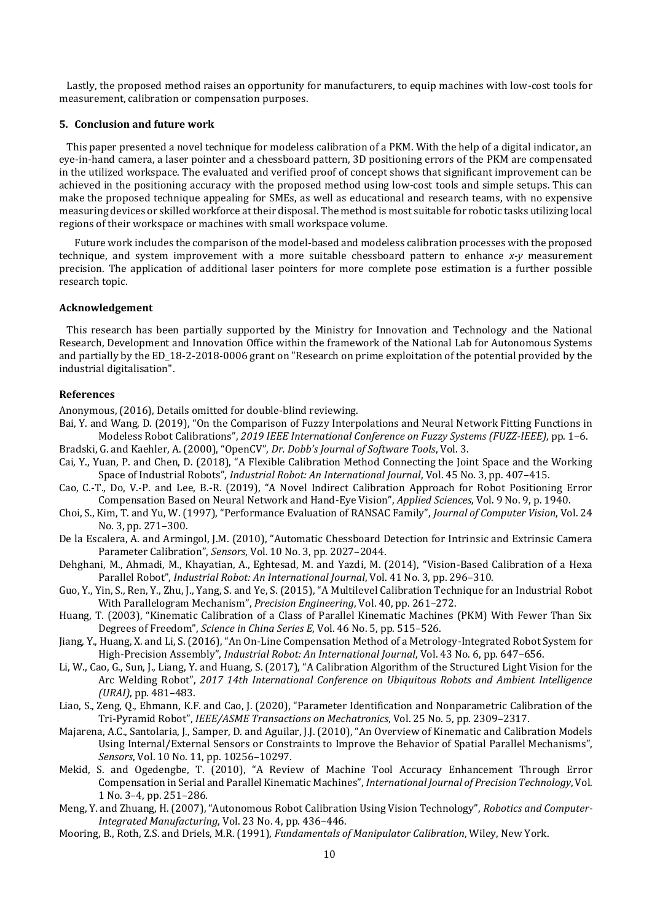Lastly, the proposed method raises an opportunity for manufacturers, to equip machines with low-cost tools for measurement, calibration or compensation purposes.

# **5. Conclusion and future work**

This paper presented a novel technique for modeless calibration of a PKM. With the help of a digital indicator, an eye-in-hand camera, a laser pointer and a chessboard pattern, 3D positioning errors of the PKM are compensated in the utilized workspace. The evaluated and verified proof of concept shows that significant improvement can be achieved in the positioning accuracy with the proposed method using low-cost tools and simple setups. This can make the proposed technique appealing for SMEs, as well as educational and research teams, with no expensive measuring devices or skilled workforce at their disposal. The method is most suitable for robotic tasks utilizing local regions of their workspace or machines with small workspace volume.

Future work includes the comparison of the model-based and modeless calibration processes with the proposed technique, and system improvement with a more suitable chessboard pattern to enhance *x-y* measurement precision. The application of additional laser pointers for more complete pose estimation is a further possible research topic.

# **Acknowledgement**

This research has been partially supported by the Ministry for Innovation and Technology and the National Research, Development and Innovation Office within the framework of the National Lab for Autonomous Systems and partially by the ED\_18-2-2018-0006 grant on "Research on prime exploitation of the potential provided by the industrial digitalisation".

#### **References**

Anonymous, (2016), Details omitted for double-blind reviewing.

- Bai, Y. and Wang, D. (2019), "On the Comparison of Fuzzy Interpolations and Neural Network Fitting Functions in Modeless Robot Calibrations", *2019 IEEE International Conference on Fuzzy Systems (FUZZ-IEEE)*, pp. 1–6.
- Bradski, G. and Kaehler, A. (2000), "OpenCV", *Dr. Dobb's Journal of Software Tools*, Vol. 3.
- Cai, Y., Yuan, P. and Chen, D. (2018), "A Flexible Calibration Method Connecting the Joint Space and the Working Space of Industrial Robots", *Industrial Robot: An International Journal*, Vol. 45 No. 3, pp. 407–415.
- Cao, C.-T., Do, V.-P. and Lee, B.-R. (2019), "A Novel Indirect Calibration Approach for Robot Positioning Error Compensation Based on Neural Network and Hand-Eye Vision", *Applied Sciences*, Vol. 9 No. 9, p. 1940.
- Choi, S., Kim, T. and Yu, W. (1997), "Performance Evaluation of RANSAC Family", *Journal of Computer Vision*, Vol. 24 No. 3, pp. 271–300.
- De la Escalera, A. and Armingol, J.M. (2010), "Automatic Chessboard Detection for Intrinsic and Extrinsic Camera Parameter Calibration", *Sensors*, Vol. 10 No. 3, pp. 2027–2044.
- Dehghani, M., Ahmadi, M., Khayatian, A., Eghtesad, M. and Yazdi, M. (2014), "Vision-Based Calibration of a Hexa Parallel Robot", *Industrial Robot: An International Journal*, Vol. 41 No. 3, pp. 296–310.
- Guo, Y., Yin, S., Ren, Y., Zhu, J., Yang, S. and Ye, S. (2015), "A Multilevel Calibration Technique for an Industrial Robot With Parallelogram Mechanism", *Precision Engineering*, Vol. 40, pp. 261–272.
- Huang, T. (2003), "Kinematic Calibration of a Class of Parallel Kinematic Machines (PKM) With Fewer Than Six Degrees of Freedom", *Science in China Series E*, Vol. 46 No. 5, pp. 515–526.
- Jiang, Y., Huang, X. and Li, S. (2016), "An On-Line Compensation Method of a Metrology-Integrated Robot System for High-Precision Assembly", *Industrial Robot: An International Journal*, Vol. 43 No. 6, pp. 647–656.
- Li, W., Cao, G., Sun, J., Liang, Y. and Huang, S. (2017), "A Calibration Algorithm of the Structured Light Vision for the Arc Welding Robot", *2017 14th International Conference on Ubiquitous Robots and Ambient Intelligence (URAI)*, pp. 481–483.
- Liao, S., Zeng, Q., Ehmann, K.F. and Cao, J. (2020), "Parameter Identification and Nonparametric Calibration of the Tri-Pyramid Robot", *IEEE/ASME Transactions on Mechatronics*, Vol. 25 No. 5, pp. 2309–2317.
- Majarena, A.C., Santolaria, J., Samper, D. and Aguilar, J.J. (2010), "An Overview of Kinematic and Calibration Models Using Internal/External Sensors or Constraints to Improve the Behavior of Spatial Parallel Mechanisms", *Sensors*, Vol. 10 No. 11, pp. 10256–10297.
- Mekid, S. and Ogedengbe, T. (2010), "A Review of Machine Tool Accuracy Enhancement Through Error Compensation in Serial and Parallel Kinematic Machines", *International Journal of Precision Technology*, Vol. 1 No. 3–4, pp. 251–286.
- Meng, Y. and Zhuang, H. (2007), "Autonomous Robot Calibration Using Vision Technology", *Robotics and Computer-Integrated Manufacturing*, Vol. 23 No. 4, pp. 436–446.
- Mooring, B., Roth, Z.S. and Driels, M.R. (1991), *Fundamentals of Manipulator Calibration*, Wiley, New York.